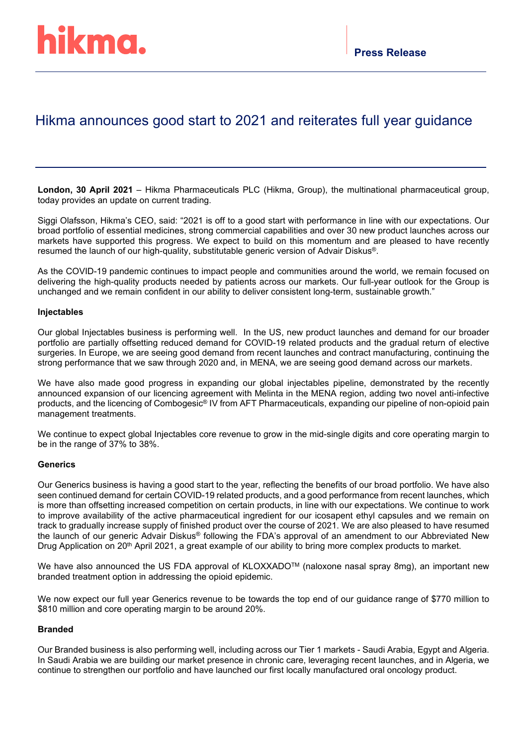# Hikma announces good start to 2021 and reiterates full year guidance

**London, 30 April 2021** – Hikma Pharmaceuticals PLC (Hikma, Group), the multinational pharmaceutical group, today provides an update on current trading.

Siggi Olafsson, Hikma's CEO, said: "2021 is off to a good start with performance in line with our expectations. Our broad portfolio of essential medicines, strong commercial capabilities and over 30 new product launches across our markets have supported this progress. We expect to build on this momentum and are pleased to have recently resumed the launch of our high-quality, substitutable generic version of Advair Diskus®.

As the COVID-19 pandemic continues to impact people and communities around the world, we remain focused on delivering the high-quality products needed by patients across our markets. Our full-year outlook for the Group is unchanged and we remain confident in our ability to deliver consistent long-term, sustainable growth."

## **Injectables**

Our global Injectables business is performing well. In the US, new product launches and demand for our broader portfolio are partially offsetting reduced demand for COVID-19 related products and the gradual return of elective surgeries. In Europe, we are seeing good demand from recent launches and contract manufacturing, continuing the strong performance that we saw through 2020 and, in MENA, we are seeing good demand across our markets.

We have also made good progress in expanding our global injectables pipeline, demonstrated by the recently announced expansion of our licencing agreement with Melinta in the MENA region, adding two novel anti-infective products, and the licencing of Combogesic® IV from AFT Pharmaceuticals, expanding our pipeline of non-opioid pain management treatments.

We continue to expect global Injectables core revenue to grow in the mid-single digits and core operating margin to be in the range of 37% to 38%.

## **Generics**

Our Generics business is having a good start to the year, reflecting the benefits of our broad portfolio. We have also seen continued demand for certain COVID-19 related products, and a good performance from recent launches, which is more than offsetting increased competition on certain products, in line with our expectations. We continue to work to improve availability of the active pharmaceutical ingredient for our icosapent ethyl capsules and we remain on track to gradually increase supply of finished product over the course of 2021. We are also pleased to have resumed the launch of our generic Advair Diskus® following the FDA's approval of an amendment to our Abbreviated New Drug Application on 20<sup>th</sup> April 2021, a great example of our ability to bring more complex products to market.

We have also announced the US FDA approval of KLOXXADO™ (naloxone nasal spray 8mg), an important new branded treatment option in addressing the opioid epidemic.

We now expect our full year Generics revenue to be towards the top end of our guidance range of \$770 million to \$810 million and core operating margin to be around 20%.

## **Branded**

Our Branded business is also performing well, including across our Tier 1 markets - Saudi Arabia, Egypt and Algeria. In Saudi Arabia we are building our market presence in chronic care, leveraging recent launches, and in Algeria, we continue to strengthen our portfolio and have launched our first locally manufactured oral oncology product.